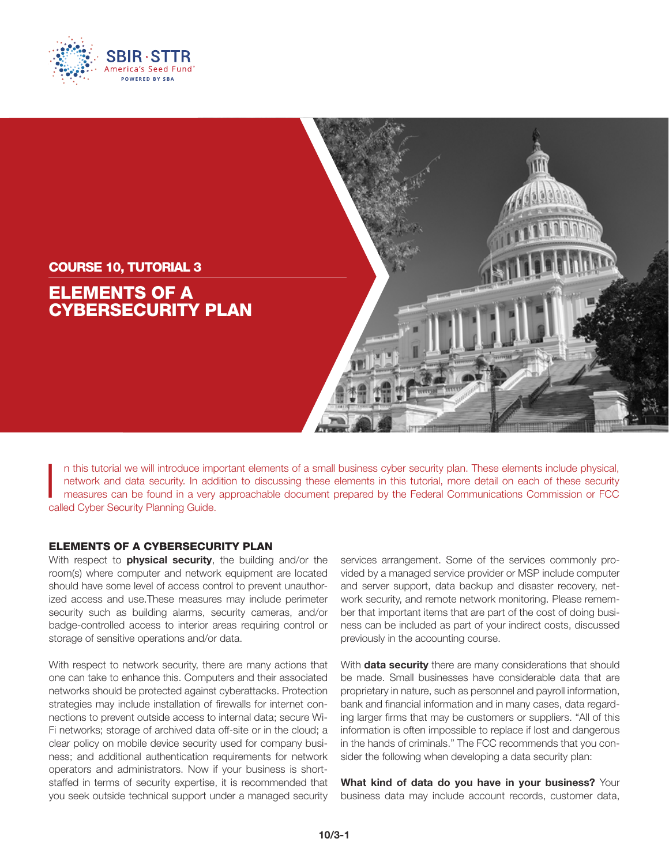



n this tutorial we will introduce important elements of a small business cyber security plan. These elements include physical, network and data security. In addition to discussing these elements in this tutorial, more detail on each of these security measures can be found in a very approachable document prepared by the Federal Communications Commission or FCC called Cyber Security Planning Guide.

## ELEMENTS OF A CYBERSECURITY PLAN

With respect to **physical security**, the building and/or the room(s) where computer and network equipment are located should have some level of access control to prevent unauthorized access and use.These measures may include perimeter security such as building alarms, security cameras, and/or badge-controlled access to interior areas requiring control or storage of sensitive operations and/or data.

With respect to network security, there are many actions that one can take to enhance this. Computers and their associated networks should be protected against cyberattacks. Protection strategies may include installation of firewalls for internet connections to prevent outside access to internal data; secure Wi-Fi networks; storage of archived data off-site or in the cloud; a clear policy on mobile device security used for company business; and additional authentication requirements for network operators and administrators. Now if your business is shortstaffed in terms of security expertise, it is recommended that you seek outside technical support under a managed security services arrangement. Some of the services commonly provided by a managed service provider or MSP include computer and server support, data backup and disaster recovery, network security, and remote network monitoring. Please remember that important items that are part of the cost of doing business can be included as part of your indirect costs, discussed previously in the accounting course.

With **data security** there are many considerations that should be made. Small businesses have considerable data that are proprietary in nature, such as personnel and payroll information, bank and financial information and in many cases, data regarding larger firms that may be customers or suppliers. "All of this information is often impossible to replace if lost and dangerous in the hands of criminals." The FCC recommends that you consider the following when developing a data security plan:

**What kind of data do you have in your business?** Your business data may include account records, customer data,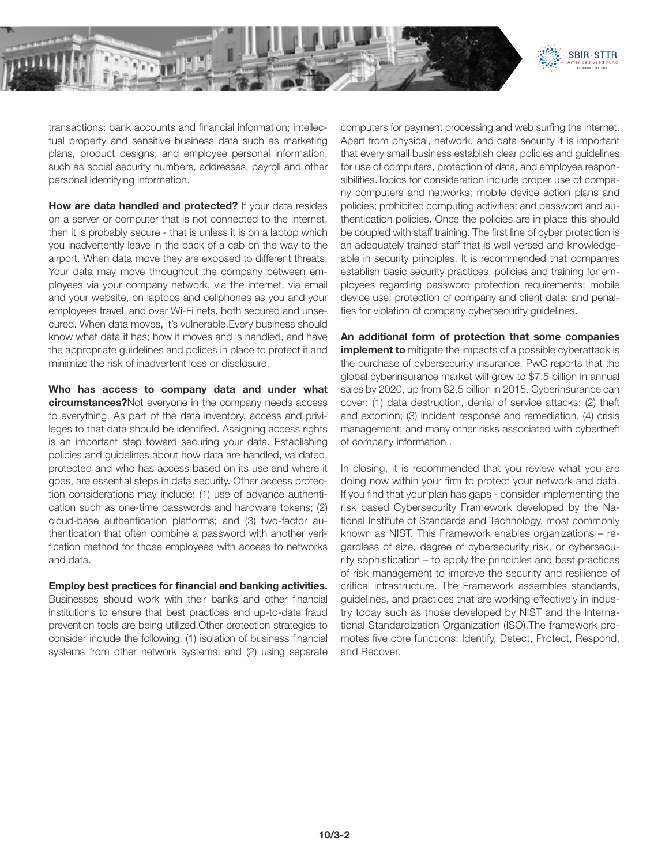

transactions; bank accounts and financial information; intellectual property and sensitive business data such as marketing plans, product designs; and employee personal information, such as social security numbers, addresses, payroll and other personal identifying information.

**How are data handled and protected?** If your data resides on a server or computer that is not connected to the internet, then it is probably secure - that is unless it is on a laptop which you inadvertently leave in the back of a cab on the way to the airport. When data move they are exposed to different threats. Your data may move throughout the company between employees via your company network, via the internet, via email and your website, on laptops and cellphones as you and your employees travel, and over Wi-Fi nets, both secured and unsecured. When data moves, it's vulnerable.Every business should know what data it has; how it moves and is handled, and have the appropriate guidelines and polices in place to protect it and minimize the risk of inadvertent loss or disclosure.

**Who has access to company data and under what circumstances?**Not everyone in the company needs access to everything. As part of the data inventory, access and privileges to that data should be identified. Assigning access rights is an important step toward securing your data. Establishing policies and guidelines about how data are handled, validated, protected and who has access based on its use and where it goes, are essential steps in data security. Other access protection considerations may include: (1) use of advance authentication such as one-time passwords and hardware tokens; (2) cloud-base authentication platforms; and (3) two-factor authentication that often combine a password with another verification method for those employees with access to networks and data.

## **Employ best practices for financial and banking activities.**

Businesses should work with their banks and other financial institutions to ensure that best practices and up-to-date fraud prevention tools are being utilized.Other protection strategies to consider include the following: (1) isolation of business financial systems from other network systems; and (2) using separate computers for payment processing and web surfing the internet. Apart from physical, network, and data security it is important that every small business establish clear policies and guidelines for use of computers, protection of data, and employee responsibilities.Topics for consideration include proper use of company computers and networks; mobile device action plans and policies; prohibited computing activities; and password and authentication policies. Once the policies are in place this should be coupled with staff training. The first line of cyber protection is an adequately trained staff that is well versed and knowledgeable in security principles. It is recommended that companies establish basic security practices, policies and training for employees regarding password protection requirements; mobile device use; protection of company and client data; and penalties for violation of company cybersecurity guidelines.

**An additional form of protection that some companies implement to** mitigate the impacts of a possible cyberattack is the purchase of cybersecurity insurance. PwC reports that the global cyberinsurance market will grow to \$7.5 billion in annual sales by 2020, up from \$2.5 billion in 2015. Cyberinsurance can cover: (1) data destruction, denial of service attacks; (2) theft and extortion; (3) incident response and remediation, (4) crisis management; and many other risks associated with cybertheft of company information .

In closing, it is recommended that you review what you are doing now within your firm to protect your network and data. If you find that your plan has gaps - consider implementing the risk based Cybersecurity Framework developed by the National Institute of Standards and Technology, most commonly known as NIST. This Framework enables organizations – regardless of size, degree of cybersecurity risk, or cybersecurity sophistication – to apply the principles and best practices of risk management to improve the security and resilience of critical infrastructure. The Framework assembles standards, guidelines, and practices that are working effectively in industry today such as those developed by NIST and the International Standardization Organization (ISO).The framework promotes five core functions: Identify, Detect, Protect, Respond, and Recover.